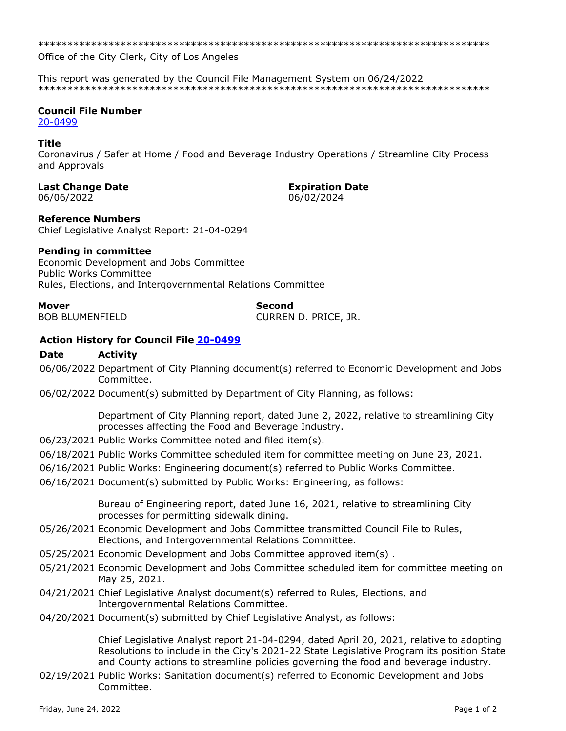Office of the City Clerk, City of Los Angeles

This report was generated by the Council File Management System on 06/24/2022 

# **Council File Number**

20-0499

# **Title**

Coronavirus / Safer at Home / Food and Beverage Industry Operations / Streamline City Process and Approvals

### **Last Change Date**

06/06/2022

#### **Expiration Date** 06/02/2024

# **Reference Numbers**

Chief Legislative Analyst Report: 21-04-0294

# **Pending in committee**

Economic Development and Jobs Committee **Public Works Committee** Rules, Elections, and Intergovernmental Relations Committee

**Mover** 

**BOB BLUMENFIELD** 

Second CURREN D. PRICE, JR.

# **Action History for Council File 20-0499**

#### **Date Activity**

- 06/06/2022 Department of City Planning document(s) referred to Economic Development and Jobs Committee.
- 06/02/2022 Document(s) submitted by Department of City Planning, as follows:

Department of City Planning report, dated June 2, 2022, relative to streamlining City processes affecting the Food and Beverage Industry.

- 06/23/2021 Public Works Committee noted and filed item(s).
- 06/18/2021 Public Works Committee scheduled item for committee meeting on June 23, 2021.
- 06/16/2021 Public Works: Engineering document(s) referred to Public Works Committee.
- 06/16/2021 Document(s) submitted by Public Works: Engineering, as follows:

Bureau of Engineering report, dated June 16, 2021, relative to streamlining City processes for permitting sidewalk dining.

- 05/26/2021 Economic Development and Jobs Committee transmitted Council File to Rules, Elections, and Intergovernmental Relations Committee.
- 05/25/2021 Economic Development and Jobs Committee approved item(s).
- 05/21/2021 Economic Development and Jobs Committee scheduled item for committee meeting on May 25, 2021.
- 04/21/2021 Chief Legislative Analyst document(s) referred to Rules, Elections, and Intergovernmental Relations Committee.
- 04/20/2021 Document(s) submitted by Chief Legislative Analyst, as follows:

Chief Legislative Analyst report 21-04-0294, dated April 20, 2021, relative to adopting Resolutions to include in the City's 2021-22 State Legislative Program its position State and County actions to streamline policies governing the food and beverage industry.

02/19/2021 Public Works: Sanitation document(s) referred to Economic Development and Jobs Committee.